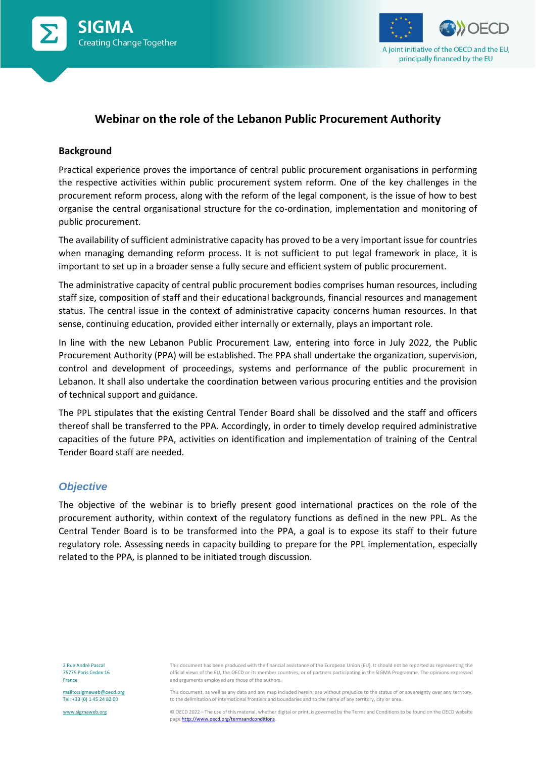



### **Webinar on the role of the Lebanon Public Procurement Authority**

#### **Background**

Practical experience proves the importance of central public procurement organisations in performing the respective activities within public procurement system reform. One of the key challenges in the procurement reform process, along with the reform of the legal component, is the issue of how to best organise the central organisational structure for the co-ordination, implementation and monitoring of public procurement.

The availability of sufficient administrative capacity has proved to be a very important issue for countries when managing demanding reform process. It is not sufficient to put legal framework in place, it is important to set up in a broader sense a fully secure and efficient system of public procurement.

The administrative capacity of central public procurement bodies comprises human resources, including staff size, composition of staff and their educational backgrounds, financial resources and management status. The central issue in the context of administrative capacity concerns human resources. In that sense, continuing education, provided either internally or externally, plays an important role.

In line with the new Lebanon Public Procurement Law, entering into force in July 2022, the Public Procurement Authority (PPA) will be established. The PPA shall undertake the organization, supervision, control and development of proceedings, systems and performance of the public procurement in Lebanon. It shall also undertake the coordination between various procuring entities and the provision of technical support and guidance.

The PPL stipulates that the existing Central Tender Board shall be dissolved and the staff and officers thereof shall be transferred to the PPA. Accordingly, in order to timely develop required administrative capacities of the future PPA, activities on identification and implementation of training of the Central Tender Board staff are needed.

### *Objective*

The objective of the webinar is to briefly present good international practices on the role of the procurement authority, within context of the regulatory functions as defined in the new PPL. As the Central Tender Board is to be transformed into the PPA, a goal is to expose its staff to their future regulatory role. Assessing needs in capacity building to prepare for the PPL implementation, especially related to the PPA, is planned to be initiated trough discussion.

2 Rue André Pascal 75775 Paris Cedex 16 France

<mailto:sigmaweb@oecd.org> Tel: +33 (0) 1 45 24 82 00

[www.sigmaweb.org](http://www.sigmaweb.org/)

This document, as well as any data and any map included herein, are without prejudice to the status of or sovereignty over any territory, to the delimitation of international frontiers and boundaries and to the name of any territory, city or area.

© OECD 2022 – The use of this material, whether digital or print, is governed by the Terms and Conditions to be found on the OECD website page http://www.oecd.org/termsandconditions

This document has been produced with the financial assistance of the European Union (EU). It should not be reported as representing the official views of the EU, the OECD or its member countries, or of partners participating in the SIGMA Programme. The opinions expressed and arguments employed are those of the authors.